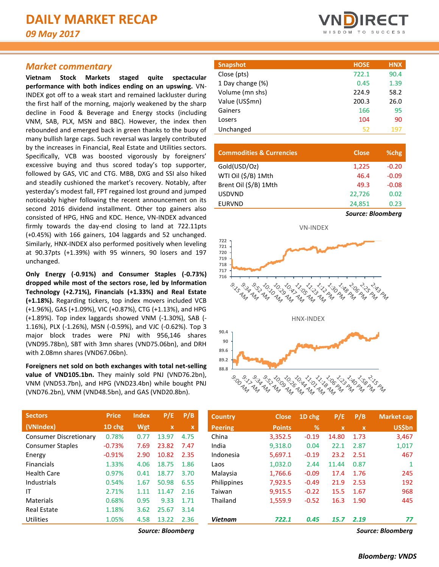## *Market commentary*

**Vietnam Stock Markets staged quite spectacular performance with both indices ending on an upswing.** VN-INDEX got off to a weak start and remained lackluster during the first half of the morning, majorly weakened by the sharp decline in Food & Beverage and Energy stocks (including VNM, SAB, PLX, MSN and BBC). However, the index then rebounded and emerged back in green thanks to the buoy of many bullish large caps. Such reversal was largely contributed by the increases in Financial, Real Estate and Utilities sectors. Specifically, VCB was boosted vigorously by foreigners' excessive buying and thus scored today's top supporter, followed by GAS, VIC and CTG. MBB, DXG and SSI also hiked and steadily cushioned the market's recovery. Notably, after yesterday's modest fall, FPT regained lost ground and jumped noticeably higher following the recent announcement on its second 2016 dividend installment. Other top gainers also consisted of HPG, HNG and KDC. Hence, VN-INDEX advanced firmly towards the day-end closing to land at 722.11pts (+0.45%) with 166 gainers, 104 laggards and 52 unchanged. Similarly, HNX-INDEX also performed positively when leveling at 90.37pts (+1.39%) with 95 winners, 90 losers and 197 unchanged.

**Only Energy (-0.91%) and Consumer Staples (-0.73%) dropped while most of the sectors rose, led by Information Technology (+2.71%), Financials (+1.33%) and Real Estate (+1.18%).** Regarding tickers, top index movers included VCB (+1.96%), GAS (+1.09%), VIC (+0.87%), CTG (+1.13%), and HPG (+1.89%). Top index laggards showed VNM (-1.30%), SAB (- 1.16%), PLX (-1.26%), MSN (-0.59%), and VJC (-0.62%). Top 3 major block trades were PNJ with 956,146 shares (VND95.78bn), SBT with 3mn shares (VND75.06bn), and DRH with 2.08mn shares (VND67.06bn).

**Foreigners net sold on both exchanges with total net-selling value of VND105.1bn.** They mainly sold PNJ (VND76.2bn), VNM (VND53.7bn), and HPG (VND23.4bn) while bought PNJ (VND76.2bn), VNM (VND48.5bn), and GAS (VND20.8bn).

| <b>Sectors</b>                | <b>Price</b> | <b>Index</b> | P/E         | P/B  |
|-------------------------------|--------------|--------------|-------------|------|
| (VNIndex)                     | 1D chg       | Wgt          | $\mathbf x$ | x    |
| <b>Consumer Discretionary</b> | 0.78%        | 0.77         | 13.97       | 4.75 |
| <b>Consumer Staples</b>       | $-0.73%$     | 7.69         | 23.82       | 7.47 |
| Energy                        | $-0.91%$     | 2.90         | 10.82       | 2.35 |
| <b>Financials</b>             | 1.33%        | 4.06         | 18.75       | 1.86 |
| Health Care                   | 0.97%        | 0.41         | 18.77       | 3.70 |
| Industrials                   | 0.54%        | 1.67         | 50.98       | 6.55 |
| ΙT                            | 2.71%        | 1.11         | 11.47       | 2.16 |
| Materials                     | 0.68%        | 0.95         | 9.33        | 1.71 |
| Real Estate                   | 1.18%        | 3.62         | 25.67       | 3.14 |
| Utilities                     | 1.05%        | 4.58         | 13.22       | 2.36 |



| <b>Snapshot</b>  | <b>HOSE</b> | <b>HNX</b> |
|------------------|-------------|------------|
| Close (pts)      | 722.1       | 90.4       |
| 1 Day change (%) | 0.45        | 1.39       |
| Volume (mn shs)  | 224.9       | 58.2       |
| Value (US\$mn)   | 200.3       | 26.0       |
| Gainers          | 166         | 95         |
| Losers           | 104         | 90         |
| Unchanged        | 52          | 197        |

| <b>Commodities &amp; Currencies</b> | <b>Close</b>             | %chg    |
|-------------------------------------|--------------------------|---------|
| Gold(USD/Oz)                        | 1,225                    | $-0.20$ |
| WTI Oil (\$/B) 1Mth                 | 46.4                     | $-0.09$ |
| Brent Oil (\$/B) 1Mth               | 49.3                     | $-0.08$ |
| <b>USDVND</b>                       | 22.726                   | 0.02    |
| <b>EURVND</b>                       | 24,851                   | 0.23    |
|                                     | <b>Source: Bloomberg</b> |         |



| <b>Sectors</b>                | <b>Price</b> | <b>Index</b> | P/E               | P/B  | <b>Country</b> | <b>Close</b>  | 1D chg        | P/E         | P/B         | Market cap        |
|-------------------------------|--------------|--------------|-------------------|------|----------------|---------------|---------------|-------------|-------------|-------------------|
| (VNIndex)                     | 1D chg       | Wgt          | $\mathbf{x}$      | X    | <b>Peering</b> | <b>Points</b> | $\frac{9}{6}$ | $\mathbf x$ | $\mathbf x$ | <b>US\$bn</b>     |
| <b>Consumer Discretionary</b> | 0.78%        | 0.77         | 13.97             | 4.75 | China          | 3,352.5       | $-0.19$       | 14.80       | 1.73        | 3,467             |
| <b>Consumer Staples</b>       | $-0.73%$     | 7.69         | 23.82             | 7.47 | India          | 9,318.0       | 0.04          | 22.1        | 2.87        | 1,017             |
| Energy                        | $-0.91%$     | 2.90         | 10.82             | 2.35 | Indonesia      | 5,697.1       | $-0.19$       | 23.2        | 2.51        | 467               |
| <b>Financials</b>             | 1.33%        | 4.06         | 18.75             | 1.86 | Laos           | 1,032.0       | 2.44          | 11.44       | 0.87        |                   |
| Health Care                   | 0.97%        | 0.41         | 18.77             | 3.70 | Malaysia       | 1,766.6       | $-0.09$       | 17.4        | 1.76        | 245               |
| <b>Industrials</b>            | 0.54%        | 1.67         | 50.98             | 6.55 | Philippines    | 7,923.5       | $-0.49$       | 21.9        | 2.53        | 192               |
| ΙT                            | 2.71%        | 1.11         | 11.47             | 2.16 | Taiwan         | 9,915.5       | $-0.22$       | 15.5        | 1.67        | 968               |
| Materials                     | 0.68%        | 0.95         | 9.33              | 1.71 | Thailand       | 1,559.9       | $-0.52$       | 16.3        | 1.90        | 445               |
| <b>Real Estate</b>            | 1.18%        | 3.62         | 25.67             | 3.14 |                |               |               |             |             |                   |
| Utilities                     | 1.05%        | 4.58         | 13.22             | 2.36 | <b>Vietnam</b> | 722.1         | 0.45          | 15.7        | 2.19        | 77                |
|                               |              |              | Source: Bloombera |      |                |               |               |             |             | Source: Bloombera |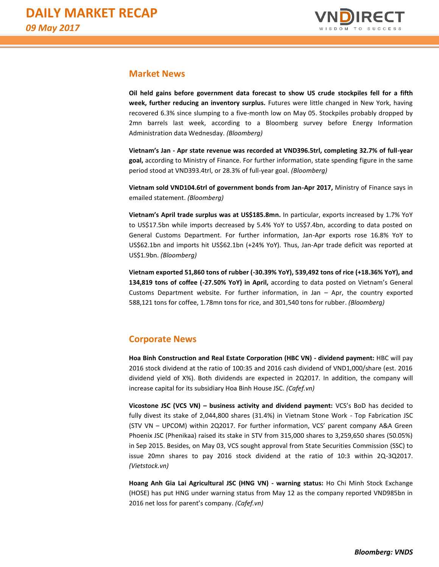

# **Market News**

**Oil held gains before government data forecast to show US crude stockpiles fell for a fifth week, further reducing an inventory surplus.** Futures were little changed in New York, having recovered 6.3% since slumping to a five-month low on May 05. Stockpiles probably dropped by 2mn barrels last week, according to a Bloomberg survey before Energy Information Administration data Wednesday. *(Bloomberg)*

**Vietnam's Jan - Apr state revenue was recorded at VND396.5trl, completing 32.7% of full-year goal,** according to Ministry of Finance. For further information, state spending figure in the same period stood at VND393.4trl, or 28.3% of full-year goal. *(Bloomberg)*

**Vietnam sold VND104.6trl of government bonds from Jan-Apr 2017,** Ministry of Finance says in emailed statement. *(Bloomberg)*

**Vietnam's April trade surplus was at US\$185.8mn.** In particular, exports increased by 1.7% YoY to US\$17.5bn while imports decreased by 5.4% YoY to US\$7.4bn, according to data posted on General Customs Department. For further information, Jan-Apr exports rose 16.8% YoY to US\$62.1bn and imports hit US\$62.1bn (+24% YoY). Thus, Jan-Apr trade deficit was reported at US\$1.9bn. *(Bloomberg)*

**Vietnam exported 51,860 tons of rubber (-30.39% YoY), 539,492 tons of rice (+18.36% YoY), and 134,819 tons of coffee (-27.50% YoY) in April,** according to data posted on Vietnam's General Customs Department website. For further information, in Jan – Apr, the country exported 588,121 tons for coffee, 1.78mn tons for rice, and 301,540 tons for rubber. *(Bloomberg)*

# **Corporate News**

**Hoa Binh Construction and Real Estate Corporation (HBC VN) - dividend payment:** HBC will pay 2016 stock dividend at the ratio of 100:35 and 2016 cash dividend of VND1,000/share (est. 2016 dividend yield of X%). Both dividends are expected in 2Q2017. In addition, the company will increase capital for its subsidiary Hoa Binh House JSC. *(Cafef.vn)*

**Vicostone JSC (VCS VN) – business activity and dividend payment:** VCS's BoD has decided to fully divest its stake of 2,044,800 shares (31.4%) in Vietnam Stone Work - Top Fabrication JSC (STV VN – UPCOM) within 2Q2017. For further information, VCS' parent company A&A Green Phoenix JSC (Phenikaa) raised its stake in STV from 315,000 shares to 3,259,650 shares (50.05%) in Sep 2015. Besides, on May 03, VCS sought approval from State Securities Commission (SSC) to issue 20mn shares to pay 2016 stock dividend at the ratio of 10:3 within 2Q-3Q2017. *(Vietstock.vn)*

**Hoang Anh Gia Lai Agricultural JSC (HNG VN) - warning status:** Ho Chi Minh Stock Exchange (HOSE) has put HNG under warning status from May 12 as the company reported VND985bn in 2016 net loss for parent's company. *(Cafef.vn)*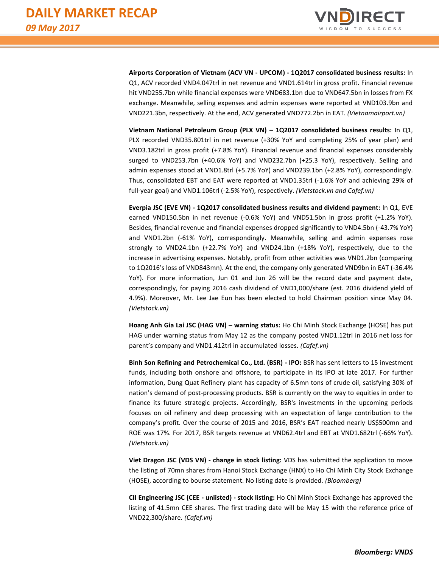

**Airports Corporation of Vietnam (ACV VN - UPCOM) - 1Q2017 consolidated business results:** In Q1, ACV recorded VND4.047trl in net revenue and VND1.614trl in gross profit. Financial revenue hit VND255.7bn while financial expenses were VND683.1bn due to VND647.5bn in losses from FX exchange. Meanwhile, selling expenses and admin expenses were reported at VND103.9bn and VND221.3bn, respectively. At the end, ACV generated VND772.2bn in EAT. *(Vietnamairport.vn)*

**Vietnam National Petroleum Group (PLX VN) – 1Q2017 consolidated business results:** In Q1, PLX recorded VND35.801trl in net revenue (+30% YoY and completing 25% of year plan) and VND3.182trl in gross profit (+7.8% YoY). Financial revenue and financial expenses considerably surged to VND253.7bn (+40.6% YoY) and VND232.7bn (+25.3 YoY), respectively. Selling and admin expenses stood at VND1.8trl (+5.7% YoY) and VND239.1bn (+2.8% YoY), correspondingly. Thus, consolidated EBT and EAT were reported at VND1.35trl (-1.6% YoY and achieving 29% of full-year goal) and VND1.106trl (-2.5% YoY), respectively. *(Vietstock.vn and Cafef.vn)*

**Everpia JSC (EVE VN) - 1Q2017 consolidated business results and dividend payment:** In Q1, EVE earned VND150.5bn in net revenue (-0.6% YoY) and VND51.5bn in gross profit (+1.2% YoY). Besides, financial revenue and financial expenses dropped significantly to VND4.5bn (-43.7% YoY) and VND1.2bn (-61% YoY), correspondingly. Meanwhile, selling and admin expenses rose strongly to VND24.1bn (+22.7% YoY) and VND24.1bn (+18% YoY), respectively, due to the increase in advertising expenses. Notably, profit from other activities was VND1.2bn (comparing to 1Q2016's loss of VND843mn). At the end, the company only generated VND9bn in EAT (-36.4% YoY). For more information, Jun 01 and Jun 26 will be the record date and payment date, correspondingly, for paying 2016 cash dividend of VND1,000/share (est. 2016 dividend yield of 4.9%). Moreover, Mr. Lee Jae Eun has been elected to hold Chairman position since May 04. *(Vietstock.vn)*

**Hoang Anh Gia Lai JSC (HAG VN) – warning status:** Ho Chi Minh Stock Exchange (HOSE) has put HAG under warning status from May 12 as the company posted VND1.12trl in 2016 net loss for parent's company and VND1.412trl in accumulated losses. *(Cafef.vn)*

**Binh Son Refining and Petrochemical Co., Ltd. (BSR) - IPO:** BSR has sent letters to 15 investment funds, including both onshore and offshore, to participate in its IPO at late 2017. For further information, Dung Quat Refinery plant has capacity of 6.5mn tons of crude oil, satisfying 30% of nation's demand of post-processing products. BSR is currently on the way to equities in order to finance its future strategic projects. Accordingly, BSR's investments in the upcoming periods focuses on oil refinery and deep processing with an expectation of large contribution to the company's profit. Over the course of 2015 and 2016, BSR's EAT reached nearly US\$500mn and ROE was 17%. For 2017, BSR targets revenue at VND62.4trl and EBT at VND1.682trl (-66% YoY). *(Vietstock.vn)*

**Viet Dragon JSC (VDS VN) - change in stock listing:** VDS has submitted the application to move the listing of 70mn shares from Hanoi Stock Exchange (HNX) to Ho Chi Minh City Stock Exchange (HOSE), according to bourse statement. No listing date is provided. *(Bloomberg)*

**CII Engineering JSC (CEE - unlisted) - stock listing:** Ho Chi Minh Stock Exchange has approved the listing of 41.5mn CEE shares. The first trading date will be May 15 with the reference price of VND22,300/share. *(Cafef.vn)*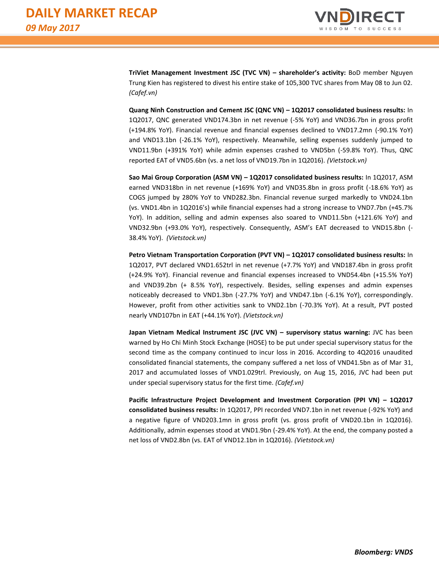

**TriViet Management Investment JSC (TVC VN) – shareholder's activity:** BoD member Nguyen Trung Kien has registered to divest his entire stake of 105,300 TVC shares from May 08 to Jun 02. *(Cafef.vn)*

**Quang Ninh Construction and Cement JSC (QNC VN) – 1Q2017 consolidated business results:** In 1Q2017, QNC generated VND174.3bn in net revenue (-5% YoY) and VND36.7bn in gross profit (+194.8% YoY). Financial revenue and financial expenses declined to VND17.2mn (-90.1% YoY) and VND13.1bn (-26.1% YoY), respectively. Meanwhile, selling expenses suddenly jumped to VND11.9bn (+391% YoY) while admin expenses crashed to VND5bn (-59.8% YoY). Thus, QNC reported EAT of VND5.6bn (vs. a net loss of VND19.7bn in 1Q2016). *(Vietstock.vn)*

**Sao Mai Group Corporation (ASM VN) – 1Q2017 consolidated business results:** In 1Q2017, ASM earned VND318bn in net revenue (+169% YoY) and VND35.8bn in gross profit (-18.6% YoY) as COGS jumped by 280% YoY to VND282.3bn. Financial revenue surged markedly to VND24.1bn (vs. VND1.4bn in 1Q2016's) while financial expenses had a strong increase to VND7.7bn (+45.7% YoY). In addition, selling and admin expenses also soared to VND11.5bn (+121.6% YoY) and VND32.9bn (+93.0% YoY), respectively. Consequently, ASM's EAT decreased to VND15.8bn (- 38.4% YoY). *(Vietstock.vn)*

**Petro Vietnam Transportation Corporation (PVT VN) – 1Q2017 consolidated business results:** In 1Q2017, PVT declared VND1.652trl in net revenue (+7.7% YoY) and VND187.4bn in gross profit (+24.9% YoY). Financial revenue and financial expenses increased to VND54.4bn (+15.5% YoY) and VND39.2bn (+ 8.5% YoY), respectively. Besides, selling expenses and admin expenses noticeably decreased to VND1.3bn (-27.7% YoY) and VND47.1bn (-6.1% YoY), correspondingly. However, profit from other activities sank to VND2.1bn (-70.3% YoY). At a result, PVT posted nearly VND107bn in EAT (+44.1% YoY). *(Vietstock.vn)*

**Japan Vietnam Medical Instrument JSC (JVC VN) – supervisory status warning:** JVC has been warned by Ho Chi Minh Stock Exchange (HOSE) to be put under special supervisory status for the second time as the company continued to incur loss in 2016. According to 4Q2016 unaudited consolidated financial statements, the company suffered a net loss of VND41.5bn as of Mar 31, 2017 and accumulated losses of VND1.029trl. Previously, on Aug 15, 2016, JVC had been put under special supervisory status for the first time. *(Cafef.vn)*

**Pacific Infrastructure Project Development and Investment Corporation (PPI VN) – 1Q2017 consolidated business results:** In 1Q2017, PPI recorded VND7.1bn in net revenue (-92% YoY) and a negative figure of VND203.1mn in gross profit (vs. gross profit of VND20.1bn in 1Q2016). Additionally, admin expenses stood at VND1.9bn (-29.4% YoY). At the end, the company posted a net loss of VND2.8bn (vs. EAT of VND12.1bn in 1Q2016). *(Vietstock.vn)*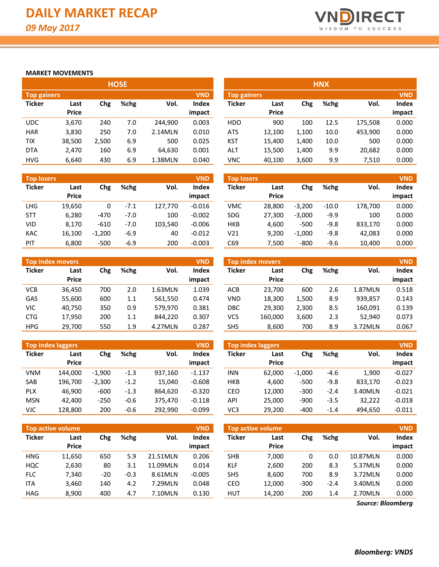

#### **MARKET MOVEMENTS**

|                    |              |       | <b>HOSE</b> |         |              |                    |              |       | <b>HNX</b> |         |            |
|--------------------|--------------|-------|-------------|---------|--------------|--------------------|--------------|-------|------------|---------|------------|
| <b>Top gainers</b> |              |       |             |         | <b>VND</b>   | <b>Top gainers</b> |              |       |            |         | <b>VND</b> |
| <b>Ticker</b>      | Last         | Chg   | %chg        | Vol.    | <b>Index</b> | <b>Ticker</b>      | Last         | Chg   | %chg       | Vol.    | Index      |
|                    | <b>Price</b> |       |             |         | impact       |                    | <b>Price</b> |       |            |         | impact     |
| <b>UDC</b>         | 3,670        | 240   | 7.0         | 244.900 | 0.003        | <b>HDO</b>         | 900          | 100   | 12.5       | 175,508 | 0.000      |
| <b>HAR</b>         | 3,830        | 250   | 7.0         | 2.14MLN | 0.010        | <b>ATS</b>         | 12,100       | 1,100 | 10.0       | 453,900 | 0.000      |
| <b>TIX</b>         | 38,500       | 2,500 | 6.9         | 500     | 0.025        | <b>KST</b>         | 15.400       | 1,400 | 10.0       | 500     | 0.000      |
| <b>DTA</b>         | 2,470        | 160   | 6.9         | 64,630  | 0.001        | ALT                | 15,500       | 1,400 | 9.9        | 20,682  | 0.000      |
| <b>HVG</b>         | 6,640        | 430   | 6.9         | 1.38MLN | 0.040        | VNC                | 40.100       | 3,600 | 9.9        | 7,510   | 0.000      |

| <b>Top losers</b> |               |          |        |         | <b>VND</b>             |
|-------------------|---------------|----------|--------|---------|------------------------|
| <b>Ticker</b>     | Last<br>Price | Chg      | %chg   | Vol.    | <b>Index</b><br>impact |
| <b>LHG</b>        | 19,650        | 0        | $-7.1$ | 127,770 | $-0.016$               |
| <b>STT</b>        | 6,280         | -470     | $-7.0$ | 100     | $-0.002$               |
| VID               | 8.170         | $-610$   | $-7.0$ | 103,540 | $-0.006$               |
| <b>KAC</b>        | 16,100        | $-1,200$ | $-6.9$ | 40      | $-0.012$               |
| PIT               | 6,800         | $-500$   | $-6.9$ | 200     | $-0.003$               |

|               | <b>Top index movers</b> |     |      | <b>VND</b> |        |
|---------------|-------------------------|-----|------|------------|--------|
| <b>Ticker</b> | Last                    | Chg | %chg | Vol.       | Index  |
|               | <b>Price</b>            |     |      |            | impact |
| VCB           | 36,450                  | 700 | 2.0  | 1.63MLN    | 1.039  |
| GAS           | 55,600                  | 600 | 1.1  | 561,550    | 0.474  |
| VIC           | 40.750                  | 350 | 0.9  | 579.970    | 0.381  |
| <b>CTG</b>    | 17,950                  | 200 | 1.1  | 844,220    | 0.307  |
| <b>HPG</b>    | 29,700                  | 550 | 1.9  | 4.27MLN    | 0.287  |

| <b>Top index laggers</b><br><b>VND</b> |              |          |        |         |          |  |  |  |  |  |  |  |
|----------------------------------------|--------------|----------|--------|---------|----------|--|--|--|--|--|--|--|
| <b>Ticker</b>                          | Last         | Chg      | %chg   | Vol.    | Index    |  |  |  |  |  |  |  |
|                                        | <b>Price</b> |          |        |         | impact   |  |  |  |  |  |  |  |
| VNM                                    | 144,000      | $-1,900$ | $-1.3$ | 937,160 | $-1.137$ |  |  |  |  |  |  |  |
| SAB                                    | 196,700      | $-2,300$ | $-1.2$ | 15,040  | $-0.608$ |  |  |  |  |  |  |  |
| <b>PLX</b>                             | 46.900       | -600     | $-1.3$ | 864,620 | $-0.320$ |  |  |  |  |  |  |  |
| <b>MSN</b>                             | 42,400       | $-250$   | $-0.6$ | 375,470 | $-0.118$ |  |  |  |  |  |  |  |
| <b>VJC</b>                             | 128,800      | 200      | $-0.6$ | 292,990 | $-0.099$ |  |  |  |  |  |  |  |

|                    |              |       | HU3E. |         |              |                    |              |       | нiva |         |            |
|--------------------|--------------|-------|-------|---------|--------------|--------------------|--------------|-------|------|---------|------------|
| <b>Top gainers</b> |              |       |       |         | <b>VND</b>   | <b>Top gainers</b> |              |       |      |         | <b>VND</b> |
| Ticker             | Last         | Chg   | %chg  | Vol.    | <b>Index</b> | Ticker             | Last         | Chg   | %chg | Vol.    | Index      |
|                    | <b>Price</b> |       |       |         | impact       |                    | <b>Price</b> |       |      |         | impact     |
| UDC.               | 3,670        | 240   | 7.0   | 244.900 | 0.003        | <b>HDO</b>         | 900          | 100   | 12.5 | 175,508 | 0.000      |
| <b>HAR</b>         | 3,830        | 250   | 7.0   | 2.14MLN | 0.010        | ATS                | 12.100       | 1.100 | 10.0 | 453,900 | 0.000      |
| TIX                | 38,500       | 2.500 | 6.9   | 500     | 0.025        | KST                | 15,400       | 1,400 | 10.0 | 500     | 0.000      |
| <b>DTA</b>         | 2,470        | 160   | 6.9   | 64,630  | 0.001        | ALT                | 15,500       | 1,400 | 9.9  | 20,682  | 0.000      |
| HVG                | 6.640        | 430   | 6.9   | 1.38MLN | 0.040        | VNC                | 40.100       | 3.600 | 9.9  | 7.510   | 0.000      |

| <b>Top losers</b> |                      |          |        |         | <b>VND</b>      | <b>Top losers</b> |                      |          |         |         | <b>VND</b>      |
|-------------------|----------------------|----------|--------|---------|-----------------|-------------------|----------------------|----------|---------|---------|-----------------|
| Ticker            | Last<br><b>Price</b> | Chg      | %chg   | Vol.    | Index<br>impact | <b>Ticker</b>     | Last<br><b>Price</b> | Chg      | %chg    | Vol.    | Index<br>impact |
| LHG.              | 19,650               |          | $-7.1$ | 127,770 | $-0.016$        | <b>VMC</b>        | 28.800               | $-3.200$ | $-10.0$ | 178,700 | 0.000           |
| <b>STT</b>        | 6,280                | $-470$   | $-7.0$ | 100     | $-0.002$        | <b>SDG</b>        | 27.300               | $-3.000$ | $-9.9$  | 100     | 0.000           |
| VID               | 8.170                | $-610$   | $-7.0$ | 103.540 | $-0.006$        | <b>HKB</b>        | 4.600                | $-500$   | $-9.8$  | 833.170 | 0.000           |
| KAC               | 16,100               | $-1.200$ | $-6.9$ | 40      | $-0.012$        | V21               | 9,200                | $-1.000$ | $-9.8$  | 42.083  | 0.000           |
| PIT               | 6,800                | $-500$   | $-6.9$ | 200     | $-0.003$        | C69               | 7.500                | $-800$   | $-9.6$  | 10.400  | 0.000           |

|            | <b>Top index movers</b> |     |      |         | <b>VND</b>   |            | <b>Top index movers</b> |       |      |         | <b>VND</b> |
|------------|-------------------------|-----|------|---------|--------------|------------|-------------------------|-------|------|---------|------------|
| Ticker     | Last                    | Chg | %chg | Vol.    | <b>Index</b> | Ticker     | Last                    | Chg   | %chg | Vol.    | Index      |
|            | <b>Price</b>            |     |      |         | impact       |            | <b>Price</b>            |       |      |         | impact     |
| VCB        | 36,450                  | 700 | 2.0  | 1.63MLN | 1.039        | <b>ACB</b> | 23,700                  | 600   | 2.6  | 1.87MLN | 0.518      |
| GAS        | 55,600                  | 600 | 1.1  | 561.550 | 0.474        | <b>VND</b> | 18,300                  | 1.500 | 8.9  | 939,857 | 0.143      |
| VIC        | 40,750                  | 350 | 0.9  | 579.970 | 0.381        | DBC        | 29.300                  | 2,300 | 8.5  | 160.091 | 0.139      |
| <b>CTG</b> | 17,950                  | 200 | 1.1  | 844.220 | 0.307        | VCS        | 160.000                 | 3,600 | 2.3  | 52,940  | 0.073      |
| <b>HPG</b> | 29,700                  | 550 | 1.9  | 4.27MLN | 0.287        | SHS        | 8,600                   | 700   | 8.9  | 3.72MLN | 0.067      |

|            | <b>Top index laggers</b> |          |        |         | <b>VND</b> | <b>Top index laggers</b> |                      |          |        |         | <b>VND</b>   |
|------------|--------------------------|----------|--------|---------|------------|--------------------------|----------------------|----------|--------|---------|--------------|
| Ticker     | Last<br><b>Price</b>     | Chg      | %chg   | Vol.    | Index      | <b>Ticker</b>            | Last<br><b>Price</b> | Chg      | %chg   | Vol.    | <b>Index</b> |
|            |                          |          |        |         | impact     |                          |                      |          |        |         | impact       |
| VNM        | 144.000                  | $-1.900$ | $-1.3$ | 937.160 | $-1.137$   | INN.                     | 62.000               | $-1.000$ | $-4.6$ | 1.900   | $-0.027$     |
| SAB        | 196,700                  | $-2,300$ | $-1.2$ | 15.040  | $-0.608$   | <b>HKB</b>               | 4.600                | $-500$   | $-9.8$ | 833.170 | $-0.023$     |
| <b>PLX</b> | 46.900                   | $-600$   | $-1.3$ | 864.620 | $-0.320$   | CEO                      | 12.000               | $-300$   | $-2.4$ | 3.40MLN | $-0.021$     |
| <b>MSN</b> | 42,400                   | $-250$   | $-0.6$ | 375,470 | $-0.118$   | API                      | 25,000               | $-900$   | $-3.5$ | 32,222  | $-0.018$     |
| VJC        | 128,800                  | 200      | $-0.6$ | 292.990 | $-0.099$   | VC3                      | 29,200               | $-400$   | $-1.4$ | 494,650 | $-0.011$     |

|               | Top active volume    |       |        |                | <b>VND</b> | <b>VND</b><br><b>Top active volume</b> |                      |        |        |          |                 |  |  |
|---------------|----------------------|-------|--------|----------------|------------|----------------------------------------|----------------------|--------|--------|----------|-----------------|--|--|
| <b>Ticker</b> | Last<br><b>Price</b> | Chg   | %chg   | Vol.<br>impact |            | <b>Ticker</b>                          | Last<br><b>Price</b> | Chg    | %chg   | Vol.     | Index<br>impact |  |  |
| <b>HNG</b>    | 11,650               | 650   | 5.9    | 21.51MLN       | 0.206      | <b>SHB</b>                             | 7,000                |        | 0.0    | 10.87MLN | 0.000           |  |  |
| HQC           | 2,630                | 80    | 3.1    | 11.09MLN       | 0.014      | KLF                                    | 2,600                | 200    | 8.3    | 5.37MLN  | 0.000           |  |  |
| <b>FLC</b>    | 7,340                | $-20$ | $-0.3$ | 8.61MLN        | $-0.005$   | <b>SHS</b>                             | 8,600                | 700    | 8.9    | 3.72MLN  | 0.000           |  |  |
| <b>ITA</b>    | 3.460                | 140   | 4.2    | 7.29MLN        | 0.048      | CEO                                    | 12,000               | $-300$ | $-2.4$ | 3.40MLN  | 0.000           |  |  |
| <b>HAG</b>    | 8,900                | 400   | 4.7    | 7.10MLN        | 0.130      | <b>HUT</b>                             | 14,200               | 200    | 1.4    | 2.70MLN  | 0.000           |  |  |

*Source: Bloomberg*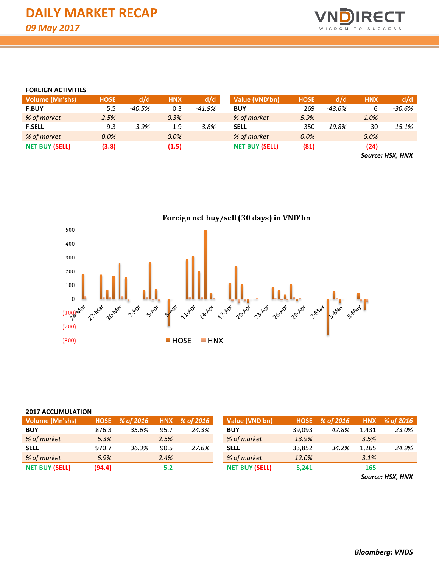

#### **FOREIGN ACTIVITIES**

| <b>Volume (Mn'shs)</b> | <b>HOSE</b> | d/d    | <b>HNX</b> | d/d      | Value (VND'bn)        | <b>HOSE</b> | d/d      | <b>HNX</b> | d/d                                                     |
|------------------------|-------------|--------|------------|----------|-----------------------|-------------|----------|------------|---------------------------------------------------------|
| <b>F.BUY</b>           | 5.5         | -40.5% | 0.3        | $-41.9%$ | <b>BUY</b>            | 269         | -43.6%   |            | -30.6%                                                  |
| % of market            | 2.5%        |        | 0.3%       |          | % of market           | 5.9%        |          | 1.0%       |                                                         |
| <b>F.SELL</b>          | 9.3         | 3.9%   | 1.9        | 3.8%     | <b>SELL</b>           | 350         | $-19.8%$ | 30         | 15.1%                                                   |
| % of market            | 0.0%        |        | $0.0\%$    |          | % of market           | 0.0%        |          | 5.0%       |                                                         |
| <b>NET BUY (SELL)</b>  | (3.8)       |        | (1.5)      |          | <b>NET BUY (SELL)</b> | (81)        |          | (24)       |                                                         |
|                        |             |        |            |          |                       |             |          |            | $\sim$ $\sim$ $\sim$ $\sim$ $\sim$ $\sim$ $\sim$ $\sim$ |

*Source: HSX, HNX*



#### **2017 ACCUMULATION**

| <b>Volume (Mn'shs)</b> |        | HOSE % of 2016 |      | HNX % of 2016 | Value (VND'bn)        |        | HOSE % of 2016 |       | HNX % of 2016 |
|------------------------|--------|----------------|------|---------------|-----------------------|--------|----------------|-------|---------------|
| <b>BUY</b>             | 876.3  | 35.6%          | 95.7 | 24.3%         | <b>BUY</b>            | 39.093 | 42.8%          | 1.431 | 23.0%         |
| % of market            | 6.3%   |                | 2.5% |               | % of market           | 13.9%  |                | 3.5%  |               |
| <b>SELL</b>            | 970.7  | 36.3%          | 90.5 | 27.6%         | <b>SELL</b>           | 33.852 | 34.2%          | 1.265 | 24.9%         |
| % of market            | 6.9%   |                | 2.4% |               | % of market           | 12.0%  |                | 3.1%  |               |
| <b>NET BUY (SELL)</b>  | (94.4) |                | 5.2  |               | <b>NET BUY (SELL)</b> | 5,241  |                | 165   |               |

*Source: HSX, HNX*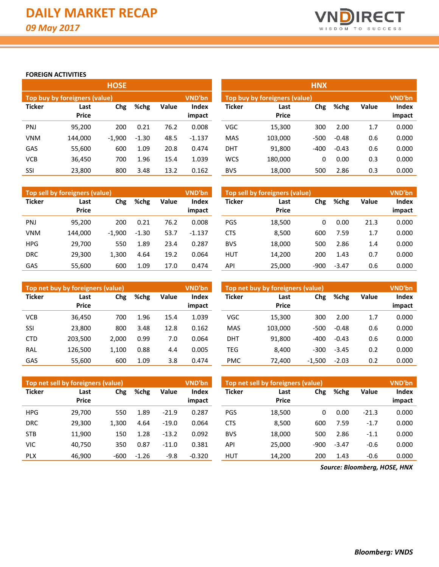

### **FOREIGN ACTIVITIES**

|               |                               | <b>HOSE</b> |         |       |                 | <b>HNX</b>    |                                                |        |         |       |                 |  |  |  |
|---------------|-------------------------------|-------------|---------|-------|-----------------|---------------|------------------------------------------------|--------|---------|-------|-----------------|--|--|--|
|               | Top buy by foreigners (value) |             |         |       | <b>VND'bn</b>   |               | <b>VND'bn</b><br>Top buy by foreigners (value) |        |         |       |                 |  |  |  |
| <b>Ticker</b> | Last<br><b>Price</b>          | Chg         | %chg    | Value | Index<br>impact | <b>Ticker</b> | Last<br><b>Price</b>                           | Chg    | %chg    | Value | Index<br>impact |  |  |  |
| PNJ           | 95,200                        | 200         | 0.21    | 76.2  | 0.008           | <b>VGC</b>    | 15,300                                         | 300    | 2.00    | 1.7   | 0.000           |  |  |  |
| <b>VNM</b>    | 144.000                       | $-1.900$    | $-1.30$ | 48.5  | $-1.137$        | <b>MAS</b>    | 103,000                                        | $-500$ | $-0.48$ | 0.6   | 0.000           |  |  |  |
| GAS           | 55,600                        | 600         | 1.09    | 20.8  | 0.474           | <b>DHT</b>    | 91,800                                         | $-400$ | $-0.43$ | 0.6   | 0.000           |  |  |  |
| <b>VCB</b>    | 36,450                        | 700         | 1.96    | 15.4  | 1.039           | <b>WCS</b>    | 180,000                                        | 0      | 0.00    | 0.3   | 0.000           |  |  |  |
| SSI           | 23,800                        | 800         | 3.48    | 13.2  | 0.162           | <b>BVS</b>    | 18,000                                         | 500    | 2.86    | 0.3   | 0.000           |  |  |  |

|               | Top sell by foreigners (value) |          |               |      | <b>VND'bn</b>          | Top sell by foreigners (value) |                      |        |         |              |                 |  |
|---------------|--------------------------------|----------|---------------|------|------------------------|--------------------------------|----------------------|--------|---------|--------------|-----------------|--|
| <b>Ticker</b> | Last<br><b>Price</b>           | Chg      | Value<br>%chg |      | <b>Index</b><br>impact | <b>Ticker</b>                  | Last<br><b>Price</b> | Chg    | %chg    | <b>Value</b> | Index<br>impact |  |
| PNJ           | 95,200                         | 200      | 0.21          | 76.2 | 0.008                  | <b>PGS</b>                     | 18,500               | 0      | 0.00    | 21.3         | 0.000           |  |
| <b>VNM</b>    | 144.000                        | $-1.900$ | $-1.30$       | 53.7 | $-1.137$               | <b>CTS</b>                     | 8.500                | 600    | 7.59    | 1.7          | 0.000           |  |
| <b>HPG</b>    | 29,700                         | 550      | 1.89          | 23.4 | 0.287                  | <b>BVS</b>                     | 18,000               | 500    | 2.86    | 1.4          | 0.000           |  |
| <b>DRC</b>    | 29.300                         | 1.300    | 4.64          | 19.2 | 0.064                  | <b>HUT</b>                     | 14.200               | 200    | 1.43    | 0.7          | 0.000           |  |
| GAS           | 55.600                         | 600      | 1.09          | 17.0 | 0.474                  | API                            | 25.000               | $-900$ | $-3.47$ | 0.6          | 0.000           |  |

|               | Top net buy by foreigners (value) |       |      |       | <b>VND'bn</b>   | Top net buy by foreigners (value) |                      | <b>VND'bn</b> |         |              |                 |
|---------------|-----------------------------------|-------|------|-------|-----------------|-----------------------------------|----------------------|---------------|---------|--------------|-----------------|
| <b>Ticker</b> | Last<br><b>Price</b>              | Chg   | %chg | Value | Index<br>impact | <b>Ticker</b>                     | Last<br><b>Price</b> | Chg           | %chg    | <b>Value</b> | Index<br>impact |
| <b>VCB</b>    | 36.450                            | 700   | 1.96 | 15.4  | 1.039           | <b>VGC</b>                        | 15,300               | 300           | 2.00    | 1.7          | 0.000           |
| SSI           | 23,800                            | 800   | 3.48 | 12.8  | 0.162           | <b>MAS</b>                        | 103,000              | $-500$        | $-0.48$ | 0.6          | 0.000           |
| <b>CTD</b>    | 203.500                           | 2.000 | 0.99 | 7.0   | 0.064           | <b>DHT</b>                        | 91,800               | $-400$        | $-0.43$ | 0.6          | 0.000           |
| RAL           | 126,500                           | 1.100 | 0.88 | 4.4   | 0.005           | TEG                               | 8,400                | $-300$        | $-3.45$ | 0.2          | 0.000           |
| GAS           | 55,600                            | 600   | 1.09 | 3.8   | 0.474           | <b>PMC</b>                        | 72,400               | $-1,500$      | $-2.03$ | 0.2          | 0.000           |

|               | Top net sell by foreigners (value) |        |         |         | <b>VND'bn</b>          | Top net sell by foreigners (value) |                      | VND'bn |         |              |                 |
|---------------|------------------------------------|--------|---------|---------|------------------------|------------------------------------|----------------------|--------|---------|--------------|-----------------|
| <b>Ticker</b> | Last<br><b>Price</b>               | Chg    | %chg    | Value   | <b>Index</b><br>impact | <b>Ticker</b>                      | Last<br><b>Price</b> | Chg    | %chg    | <b>Value</b> | Index<br>impact |
|               |                                    |        |         |         |                        |                                    |                      |        |         |              |                 |
| <b>HPG</b>    | 29.700                             | 550    | 1.89    | $-21.9$ | 0.287                  | <b>PGS</b>                         | 18,500               | 0      | 0.00    | $-21.3$      | 0.000           |
| <b>DRC</b>    | 29,300                             | 1.300  | 4.64    | $-19.0$ | 0.064                  | <b>CTS</b>                         | 8,500                | 600    | 7.59    | $-1.7$       | 0.000           |
| <b>STB</b>    | 11,900                             | 150    | 1.28    | $-13.2$ | 0.092                  | <b>BVS</b>                         | 18,000               | 500    | 2.86    | $-1.1$       | 0.000           |
| <b>VIC</b>    | 40.750                             | 350    | 0.87    | $-11.0$ | 0.381                  | API                                | 25.000               | $-900$ | $-3.47$ | $-0.6$       | 0.000           |
| <b>PLX</b>    | 46.900                             | $-600$ | $-1.26$ | $-9.8$  | $-0.320$               | <b>HUT</b>                         | 14,200               | 200    | 1.43    | $-0.6$       | 0.000           |

*Source: Bloomberg, HOSE, HNX*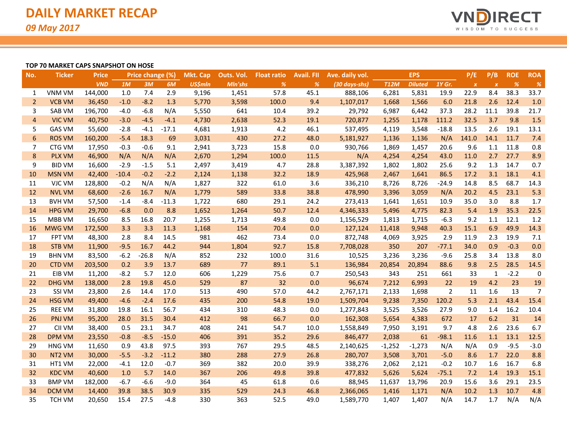

#### **TOP 70 MARKET CAPS SNAPSHOT ON HOSE**

| No.            | <b>Ticker</b> | <b>Price</b> | Price change (%) |         | Mkt. Cap | Outs. Vol. | <b>Float ratio</b> | <b>Avail</b> . Fll | Ave. daily vol. | <b>EPS</b>    |             |                | P/E            | P/B              | <b>ROE</b>       | <b>ROA</b> |                |
|----------------|---------------|--------------|------------------|---------|----------|------------|--------------------|--------------------|-----------------|---------------|-------------|----------------|----------------|------------------|------------------|------------|----------------|
|                |               | <b>VND</b>   | 1M               | 3M      | 6M       | US\$mln    | Mln'shs            | %                  | %               | (30 days-shs) | <b>T12M</b> | <b>Diluted</b> | 1Y Gr.         | $\boldsymbol{X}$ | $\boldsymbol{X}$ | %          | %              |
| 1              | VNM VM        | 144,000      | 1.0              | 7.4     | 2.9      | 9,196      | 1,451              | 57.8               | 45.1            | 888,106       | 6,281       | 5,831          | 19.9           | 22.9             | 8.4              | 38.3       | 33.7           |
| $\overline{2}$ | <b>VCB VM</b> | 36,450       | $-1.0$           | $-8.2$  | 1.3      | 5,770      | 3,598              | 100.0              | 9.4             | 1,107,017     | 1,668       | 1,566          | 6.0            | 21.8             | 2.6              | 12.4       | 1.0            |
| 3              | SAB VM        | 196,700      | $-4.0$           | $-6.8$  | N/A      | 5,550      | 641                | 10.4               | 39.2            | 29,792        | 6,987       | 6,442          | 37.3           | 28.2             | 11.1             | 39.8       | 21.7           |
| $\overline{4}$ | <b>VIC VM</b> | 40,750       | $-3.0$           | $-4.5$  | $-4.1$   | 4,730      | 2,638              | 52.3               | 19.1            | 720,877       | 1,255       | 1,178          | 111.2          | 32.5             | 3.7              | 9.8        | 1.5            |
| 5              | <b>GAS VM</b> | 55,600       | $-2.8$           | $-4.1$  | $-17.1$  | 4,681      | 1,913              | 4.2                | 46.1            | 537,495       | 4,119       | 3,548          | $-18.8$        | 13.5             | 2.6              | 19.1       | 13.1           |
| 6              | <b>ROS VM</b> | 160,200      | $-5.4$           | 18.3    | 69       | 3,031      | 430                | 27.2               | 48.0            | 5,181,927     | 1,136       | 1,136          | N/A            | 141.0            | 14.1             | 11.7       | 7.4            |
| 7              | CTG VM        | 17,950       | $-0.3$           | $-0.6$  | 9.1      | 2,941      | 3,723              | 15.8               | 0.0             | 930,766       | 1,869       | 1,457          | 20.6           | 9.6              | 1.1              | 11.8       | 0.8            |
| 8              | <b>PLX VM</b> | 46,900       | N/A              | N/A     | N/A      | 2,670      | 1,294              | 100.0              | 11.5            | N/A           | 4,254       | 4,254          | 43.0           | 11.0             | 2.7              | 27.7       | 8.9            |
| 9              | <b>BID VM</b> | 16,600       | $-2.9$           | $-1.5$  | 5.1      | 2,497      | 3,419              | 4.7                | 28.8            | 3,387,392     | 1,802       | 1,802          | 25.6           | 9.2              | 1.3              | 14.7       | 0.7            |
| 10             | <b>MSN VM</b> | 42,400       | $-10.4$          | $-0.2$  | $-2.2$   | 2,124      | 1,138              | 32.2               | 18.9            | 425,968       | 2,467       | 1,641          | 86.5           | 17.2             | 3.1              | 18.1       | 4.1            |
| 11             | VJC VM        | 128,800      | $-0.2$           | N/A     | N/A      | 1,827      | 322                | 61.0               | 3.6             | 336,210       | 8,726       | 8,726          | $-24.9$        | 14.8             | 8.5              | 68.7       | 14.3           |
| 12             | <b>NVL VM</b> | 68,600       | $-2.6$           | 16.7    | N/A      | 1,779      | 589                | 33.8               | 38.8            | 478,990       | 3,396       | 3,059          | N/A            | 20.2             | 4.5              | 23.1       | 5.3            |
| 13             | <b>BVH VM</b> | 57,500       | $-1.4$           | $-8.4$  | $-11.3$  | 1,722      | 680                | 29.1               | 24.2            | 273,413       | 1,641       | 1,651          | 10.9           | 35.0             | 3.0              | 8.8        | 1.7            |
| 14             | <b>HPG VM</b> | 29,700       | $-6.8$           | 0.0     | 8.8      | 1,652      | 1,264              | 50.7               | 12.4            | 4,346,333     | 5,496       | 4,775          | 82.3           | 5.4              | 1.9              | 35.3       | 22.5           |
| 15             | MBB VM        | 16,650       | 8.5              | 16.8    | 20.7     | 1,255      | 1,713              | 49.8               | 0.0             | 1,156,529     | 1,813       | 1,715          | $-6.3$         | 9.2              | 1.1              | 12.1       | 1.2            |
| 16             | <b>MWG VM</b> | 172,500      | 3.3              | 3.3     | 11.3     | 1,168      | 154                | 70.4               | 0.0             | 127,124       | 11,418      | 9,948          | 40.3           | 15.1             | 6.9              | 49.9       | 14.3           |
| 17             | <b>FPT VM</b> | 48,300       | 2.8              | 8.4     | 14.5     | 981        | 462                | 73.4               | 0.0             | 872,748       | 4,069       | 3,925          | 2.9            | 11.9             | 2.3              | 19.9       | 7.1            |
| 18             | <b>STB VM</b> | 11,900       | $-9.5$           | 16.7    | 44.2     | 944        | 1,804              | 92.7               | 15.8            | 7,708,028     | 350         | 207            | $-77.1$        | 34.0             | 0.9              | $-0.3$     | 0.0            |
| 19             | <b>BHN VM</b> | 83,500       | $-6.2$           | $-26.8$ | N/A      | 852        | 232                | 100.0              | 31.6            | 10,525        | 3,236       | 3,236          | $-9.6$         | 25.8             | 3.4              | 13.8       | 8.0            |
| 20             | <b>CTD VM</b> | 203,500      | 0.2              | 3.9     | 13.7     | 689        | 77                 | 89.1               | 5.1             | 136,984       | 20,854      | 20,894         | 88.6           | 9.8              | 2.5              | 28.5       | 14.5           |
| 21             | EIB VM        | 11,200       | $-8.2$           | 5.7     | 12.0     | 606        | 1,229              | 75.6               | 0.7             | 250,543       | 343         | 251            | 661            | 33               | $\mathbf{1}$     | $-2.2$     | 0              |
| 22             | <b>DHG VM</b> | 138,000      | 2.8              | 19.8    | 45.0     | 529        | 87                 | 32                 | 0.0             | 96,674        | 7,212       | 6,993          | 22             | 19               | 4.2              | 23         | 19             |
| 23             | SSI VM        | 23,800       | 2.6              | 14.4    | 17.0     | 513        | 490                | 57.0               | 44.2            | 2,767,171     | 2,133       | 1,698          | $\overline{2}$ | 11               | 1.6              | 13         | $\overline{7}$ |
| 24             | <b>HSG VM</b> | 49,400       | $-4.6$           | $-2.4$  | 17.6     | 435        | 200                | 54.8               | 19.0            | 1,509,704     | 9,238       | 7,350          | 120.2          | 5.3              | 2.1              | 43.4       | 15.4           |
| 25             | <b>REE VM</b> | 31,800       | 19.8             | 16.1    | 56.7     | 434        | 310                | 48.3               | 0.0             | 1,277,843     | 3,525       | 3,526          | 27.9           | 9.0              | 1.4              | 16.2       | 10.4           |
| 26             | PNJ VM        | 95,200       | 28.0             | 31.5    | 30.4     | 412        | 98                 | 66.7               | 0.0             | 162,308       | 5,654       | 4,383          | 672            | 17               | 6.2              | 31         | 14             |
| 27             | CII VM        | 38,400       | 0.5              | 23.1    | 34.7     | 408        | 241                | 54.7               | 10.0            | 1,558,849     | 7,950       | 3,191          | 9.7            | 4.8              | 2.6              | 23.6       | 6.7            |
| 28             | <b>DPM VM</b> | 23,550       | $-0.8$           | $-8.5$  | $-15.0$  | 406        | 391                | 35.2               | 29.6            | 846,477       | 2,038       | 61             | $-98.1$        | 11.6             | 1.1              | 13.1       | 12.5           |
| 29             | <b>HNG VM</b> | 11,650       | 0.9              | 43.8    | 97.5     | 393        | 767                | 29.5               | 48.5            | 2,140,625     | $-1,252$    | $-1,273$       | N/A            | N/A              | 0.9              | $-9.5$     | $-3.0$         |
| 30             | NT2 VM        | 30,000       | $-5.5$           | $-3.2$  | $-11.2$  | 380        | 288                | 27.9               | 26.8            | 280,707       | 3,508       | 3,701          | $-5.0$         | 8.6              | 1.7              | 22.0       | 8.8            |
| 31             | HT1 VM        | 22,000       | -4.1             | 12.0    | $-0.7$   | 369        | 382                | 20.0               | 39.9            | 338,276       | 2,062       | 2,121          | $-0.2$         | 10.7             | 1.6              | 16.7       | 6.8            |
| 32             | <b>KDC VM</b> | 40,600       | 1.0              | 5.7     | 14.0     | 367        | 206                | 49.8               | 39.8            | 477,832       | 5,626       | 5,624          | $-75.1$        | 7.2              | 1.4              | 19.3       | 15.1           |
| 33             | <b>BMP VM</b> | 182,000      | $-6.7$           | $-6.6$  | $-9.0$   | 364        | 45                 | 61.8               | 0.6             | 88,945        | 11,637      | 13,796         | 20.9           | 15.6             | 3.6              | 29.1       | 23.5           |
| 34             | <b>DCM VM</b> | 14,400       | 39.8             | 38.5    | 30.9     | 335        | 529                | 24.3               | 46.8            | 2,366,065     | 1,416       | 1,171          | N/A            | 10.2             | 1.3              | 10.7       | 4.8            |
| 35             | TCH VM        | 20,650       | 15.4             | 27.5    | $-4.8$   | 330        | 363                | 52.5               | 49.0            | 1,589,770     | 1,407       | 1,407          | N/A            | 14.7             | 1.7              | N/A        | N/A            |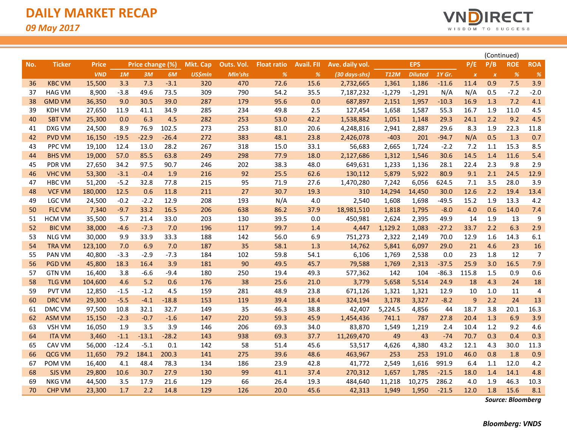

| <b>EPS</b><br>P/E<br>P/B<br><b>ROE</b><br><b>Ticker</b><br><b>Price</b><br>Price change (%)<br><b>Mkt. Cap</b><br>Outs. Vol.<br><b>Avail. FII</b><br>Ave. daily vol.<br><b>Float ratio</b><br>No.<br>1M<br>3M<br>6M<br><b>US\$mln</b><br>%<br>%<br><b>T12M</b><br><b>Diluted</b><br>$1Y$ Gr.<br>%<br><b>VND</b><br>Mln'shs<br>(30 days-shs)<br>$\boldsymbol{X}$<br>$\boldsymbol{\mathsf{x}}$<br><b>KBC VM</b><br>3.3<br>7.3<br>$-3.1$<br>320<br>470<br>72.6<br>15.6<br>1,361<br>1,186<br>11.4<br>0.9<br>7.5<br>15,500<br>2,732,665<br>$-11.6$<br>36<br>N/A<br>$-7.2$<br><b>HAG VM</b><br>8,900<br>$-3.8$<br>49.6<br>73.5<br>309<br>790<br>54.2<br>35.5<br>7,187,232<br>$-1,279$<br>$-1,291$<br>N/A<br>0.5<br>37<br>7.2<br><b>GMD VM</b><br>36,350<br>9.0<br>30.5<br>39.0<br>287<br>179<br>95.6<br>0.0<br>687,897<br>1,957<br>$-10.3$<br>16.9<br>1.3<br>38<br>2,151<br>11.0<br>KDH VM<br>27,650<br>11.9<br>41.1<br>34.9<br>285<br>234<br>49.8<br>2.5<br>127,454<br>1,658<br>1,587<br>55.3<br>16.7<br>1.9<br>39<br>282<br>9.2<br><b>SBT VM</b><br>0.0<br>6.3<br>4.5<br>253<br>53.0<br>42.2<br>1,538,882<br>29.3<br>24.1<br>2.2<br>40<br>25,300<br>1,051<br>1,148<br>102.5<br>273<br>22.3<br>DXG VM<br>24,500<br>8.9<br>76.9<br>253<br>81.0<br>20.6<br>4,248,816<br>2,887<br>29.6<br>8.3<br>1.9<br>41<br>2,941<br>$-22.9$<br>$-26.4$<br>272<br>383<br>N/A<br>0.5<br>1.3<br>42<br><b>PVD VM</b><br>16,150<br>$-19.5$<br>48.1<br>23.8<br>2,426,078<br>$-403$<br>201<br>$-94.7$<br>PPC VM<br>28.2<br>267<br>15.3<br>19,100<br>12.4<br>13.0<br>318<br>15.0<br>33.1<br>56,683<br>2,665<br>1,724<br>$-2.2$<br>7.2<br>1.1<br>43<br>85.5<br>63.8<br>249<br>298<br>77.9<br>18.0<br>2,127,686<br>30.6<br>14.5<br>11.6<br><b>BHS VM</b><br>19,000<br>57.0<br>1,312<br>1,546<br>1.4<br>44<br>97.5<br>90.7<br>246<br>202<br>38.3<br>48.0<br>2.3<br>9.8<br>PDR VM<br>27,650<br>34.2<br>649,631<br>1,233<br>1,136<br>28.1<br>22.4<br>45<br><b>VHC VM</b><br>53,300<br>$-3.1$<br>$-0.4$<br>1.9<br>216<br>92<br>25.5<br>62.6<br>130,112<br>5,922<br>80.9<br>9.1<br>2.1<br>24.5<br>46<br>5,879<br>7.1<br>$-5.2$<br>32.8<br>77.8<br>215<br>95<br>71.9<br>27.6<br>1,470,280<br>3.5<br>28.0<br>47<br>HBC VM<br>51,200<br>7,242<br>6,056<br>624.5<br>211<br>27<br>30.7<br>2.2<br>19.4<br><b>VCF VM</b><br>180,000<br>12.5<br>0.6<br>11.8<br>19.3<br>310<br>30.0<br>12.6<br>48<br>14,294<br>14,450<br>$-2.2$<br>208<br>193<br>N/A<br>LGC VM<br>24,500<br>$-0.2$<br>12.9<br>4.0<br>2,540<br>1,608<br>1,698<br>$-49.5$<br>15.2<br>1.9<br>13.3<br>49<br>33.2<br>16.5<br>206<br>638<br>86.2<br>0.6<br>14.0<br>50<br><b>FLC VM</b><br>7,340<br>$-9.7$<br>37.9<br>18,981,510<br>1,795<br>$-8.0$<br>4.0<br>1,818<br>33.0<br>203<br>130<br>39.5<br>49.9<br>13<br><b>HCM VM</b><br>35,500<br>5.7<br>21.4<br>0.0<br>450,981<br>2,395<br>14<br>1.9<br>51<br>2,624<br>6.3<br><b>BIC VM</b><br>38,000<br>$-7.3$<br>7.0<br>196<br>117<br>99.7<br>1,129.2<br>1,083<br>$-27.2$<br>33.7<br>2.2<br>52<br>$-4.6$<br>1.4<br>4,447<br>30,000<br>9.9<br>33.9<br>33.3<br>188<br>142<br>56.0<br>6.9<br>751,273<br>12.9<br>1.6<br>14.3<br>53<br><b>NLG VM</b><br>2,322<br>2,149<br>70.0<br>187<br>7.0<br>6.9<br>7.0<br>35<br>58.1<br>1.3<br>14,762<br>5,841<br>6,097<br>29.0<br>21<br>4.6<br>23<br>54<br><b>TRA VM</b><br>123,100<br>$-3.3$<br>$-2.9$<br>$-7.3$<br>184<br>102<br>59.8<br>54.1<br>6,106<br>23<br>1.8<br>12<br>55<br>PAN VM<br>40,800<br>1,769<br>2,538<br>0.0<br>181<br>45.7<br>25.9<br>16.5<br><b>PGD VM</b><br>45,800<br>18.3<br>16.4<br>3.9<br>90<br>49.5<br>79,588<br>2,313<br>$-37.5$<br>3.0<br>56<br>1,769<br>$-6.6$<br>180<br>250<br>104<br>$-86.3$<br>115.8<br>0.9<br><b>GTN VM</b><br>16,400<br>3.8<br>$-9.4$<br>19.4<br>49.3<br>577,362<br>142<br>1.5<br>57<br>4.6<br>5.2<br>0.6<br>176<br>38<br>25.6<br>3,779<br>24.9<br>4.3<br>24<br>58<br><b>TLG VM</b><br>104,600<br>21.0<br>5,658<br>5,514<br>18<br>$-1.2$<br>4.5<br>159<br>281<br>48.9<br>1,321<br>12.9<br>11<br>59<br><b>PVT VM</b><br>12,850<br>$-1.5$<br>23.8<br>671,126<br>1,321<br>10<br>1.0<br>$-4.1$<br>$-18.8$<br>153<br>119<br>39.4<br>18.4<br>$-8.2$<br>2.2<br>24<br><b>DRC VM</b><br>29,300<br>$-5.5$<br>324,194<br>3,178<br>3,327<br>9<br>60<br>32.1<br>32.7<br>149<br>35<br>46.3<br>38.8<br>5,224.5<br>4,856<br>18.7<br>3.8<br>20.1<br>DMC VM<br>97,500<br>10.8<br>42,407<br>44<br>61<br>$-2.3$<br>$-0.7$<br>$-1.6$<br>147<br>220<br>59.3<br>45.9<br>1,454,436<br>741.1<br>787<br>27.8<br>20.4<br>1.3<br>6.9<br>62<br>ASM VM<br>15,150<br>3.5<br>1.9<br>3.9<br>146<br>206<br>69.3<br>34.0<br>83,870<br>10.4<br>1.2<br>9.2<br>63<br>VSH VM<br>16,050<br>1,549<br>1,219<br>2.4<br>$-28.2$<br>938<br>37.7<br>70.7<br>0.3<br>0.4<br><b>ITA VM</b><br>3,460<br>$-1.1$<br>$-13.1$<br>143<br>69.3<br>11,269,470<br>49<br>43<br>$-74$<br>64<br>$-12.4$<br>142<br>4,380<br>30.0<br>CAV VM<br>56,000<br>$-5.1$<br>0.1<br>58<br>45.6<br>53,517<br>4,626<br>43.2<br>12.1<br>4.3<br>65<br>51.4<br>200.3<br>141<br>275<br>48.6<br>253<br>191.0<br>46.0<br>0.8<br>1.8<br>QCG VM<br>11,650<br>79.2<br>184.1<br>39.6<br>463,967<br>253<br>66<br>48.4<br>78.3<br>134<br>23.9<br>42.8<br>991.9<br>12.0<br>POM VM<br>16,400<br>4.1<br>186<br>41,772<br>2,549<br>1,616<br>6.4<br>1.1<br>67<br>27.9<br>130<br>99<br>$-21.5$<br>14.1<br>68<br><b>SJS VM</b><br>29,800<br>10.6<br>30.7<br>41.1<br>37.4<br>270,312<br>1,657<br>1,785<br>18.0<br>1.4<br>17.9<br>129<br>19.3<br>484,640<br>286.2<br>1.9<br>46.3<br>69<br>NKG VM<br>44,500<br>3.5<br>21.6<br>66<br>26.4<br>11,218<br>10,275<br>4.0<br>1.7<br>2.2<br>14.8<br>129<br>126<br>45.6<br>$-21.5$<br>1.8<br>15.6<br>70<br><b>CHP VM</b><br>23,300<br>20.0<br>42,313<br>1,949<br>1,950<br>12.0 |  |  |  |  |  |  |  |  | (Continued) |                |
|--------------------------------------------------------------------------------------------------------------------------------------------------------------------------------------------------------------------------------------------------------------------------------------------------------------------------------------------------------------------------------------------------------------------------------------------------------------------------------------------------------------------------------------------------------------------------------------------------------------------------------------------------------------------------------------------------------------------------------------------------------------------------------------------------------------------------------------------------------------------------------------------------------------------------------------------------------------------------------------------------------------------------------------------------------------------------------------------------------------------------------------------------------------------------------------------------------------------------------------------------------------------------------------------------------------------------------------------------------------------------------------------------------------------------------------------------------------------------------------------------------------------------------------------------------------------------------------------------------------------------------------------------------------------------------------------------------------------------------------------------------------------------------------------------------------------------------------------------------------------------------------------------------------------------------------------------------------------------------------------------------------------------------------------------------------------------------------------------------------------------------------------------------------------------------------------------------------------------------------------------------------------------------------------------------------------------------------------------------------------------------------------------------------------------------------------------------------------------------------------------------------------------------------------------------------------------------------------------------------------------------------------------------------------------------------------------------------------------------------------------------------------------------------------------------------------------------------------------------------------------------------------------------------------------------------------------------------------------------------------------------------------------------------------------------------------------------------------------------------------------------------------------------------------------------------------------------------------------------------------------------------------------------------------------------------------------------------------------------------------------------------------------------------------------------------------------------------------------------------------------------------------------------------------------------------------------------------------------------------------------------------------------------------------------------------------------------------------------------------------------------------------------------------------------------------------------------------------------------------------------------------------------------------------------------------------------------------------------------------------------------------------------------------------------------------------------------------------------------------------------------------------------------------------------------------------------------------------------------------------------------------------------------------------------------------------------------------------------------------------------------------------------------------------------------------------------------------------------------------------------------------------------------------------------------------------------------------------------------------------------------------------------------------------------------------------------------------------------------------------------------------------------------------------------------------------------------------------------------------------------------------------------------------------------------------------------------------------------------------------------------------------------------------------------------------------------------------------------------------------------------------------------------------------------------------------------------------------------------------------------------------------------------------------------------------------------------------------------------------------------------------------------------------------------------------------------------------------------------------------------------------------------------------------------------------------------------------------------------------------------------------------------------------------|--|--|--|--|--|--|--|--|-------------|----------------|
|                                                                                                                                                                                                                                                                                                                                                                                                                                                                                                                                                                                                                                                                                                                                                                                                                                                                                                                                                                                                                                                                                                                                                                                                                                                                                                                                                                                                                                                                                                                                                                                                                                                                                                                                                                                                                                                                                                                                                                                                                                                                                                                                                                                                                                                                                                                                                                                                                                                                                                                                                                                                                                                                                                                                                                                                                                                                                                                                                                                                                                                                                                                                                                                                                                                                                                                                                                                                                                                                                                                                                                                                                                                                                                                                                                                                                                                                                                                                                                                                                                                                                                                                                                                                                                                                                                                                                                                                                                                                                                                                                                                                                                                                                                                                                                                                                                                                                                                                                                                                                                                                                                                                                                                                                                                                                                                                                                                                                                                                                                                                                                                                                                                                    |  |  |  |  |  |  |  |  |             | <b>ROA</b>     |
|                                                                                                                                                                                                                                                                                                                                                                                                                                                                                                                                                                                                                                                                                                                                                                                                                                                                                                                                                                                                                                                                                                                                                                                                                                                                                                                                                                                                                                                                                                                                                                                                                                                                                                                                                                                                                                                                                                                                                                                                                                                                                                                                                                                                                                                                                                                                                                                                                                                                                                                                                                                                                                                                                                                                                                                                                                                                                                                                                                                                                                                                                                                                                                                                                                                                                                                                                                                                                                                                                                                                                                                                                                                                                                                                                                                                                                                                                                                                                                                                                                                                                                                                                                                                                                                                                                                                                                                                                                                                                                                                                                                                                                                                                                                                                                                                                                                                                                                                                                                                                                                                                                                                                                                                                                                                                                                                                                                                                                                                                                                                                                                                                                                                    |  |  |  |  |  |  |  |  |             | %              |
|                                                                                                                                                                                                                                                                                                                                                                                                                                                                                                                                                                                                                                                                                                                                                                                                                                                                                                                                                                                                                                                                                                                                                                                                                                                                                                                                                                                                                                                                                                                                                                                                                                                                                                                                                                                                                                                                                                                                                                                                                                                                                                                                                                                                                                                                                                                                                                                                                                                                                                                                                                                                                                                                                                                                                                                                                                                                                                                                                                                                                                                                                                                                                                                                                                                                                                                                                                                                                                                                                                                                                                                                                                                                                                                                                                                                                                                                                                                                                                                                                                                                                                                                                                                                                                                                                                                                                                                                                                                                                                                                                                                                                                                                                                                                                                                                                                                                                                                                                                                                                                                                                                                                                                                                                                                                                                                                                                                                                                                                                                                                                                                                                                                                    |  |  |  |  |  |  |  |  |             | 3.9            |
|                                                                                                                                                                                                                                                                                                                                                                                                                                                                                                                                                                                                                                                                                                                                                                                                                                                                                                                                                                                                                                                                                                                                                                                                                                                                                                                                                                                                                                                                                                                                                                                                                                                                                                                                                                                                                                                                                                                                                                                                                                                                                                                                                                                                                                                                                                                                                                                                                                                                                                                                                                                                                                                                                                                                                                                                                                                                                                                                                                                                                                                                                                                                                                                                                                                                                                                                                                                                                                                                                                                                                                                                                                                                                                                                                                                                                                                                                                                                                                                                                                                                                                                                                                                                                                                                                                                                                                                                                                                                                                                                                                                                                                                                                                                                                                                                                                                                                                                                                                                                                                                                                                                                                                                                                                                                                                                                                                                                                                                                                                                                                                                                                                                                    |  |  |  |  |  |  |  |  |             | $-2.0$         |
|                                                                                                                                                                                                                                                                                                                                                                                                                                                                                                                                                                                                                                                                                                                                                                                                                                                                                                                                                                                                                                                                                                                                                                                                                                                                                                                                                                                                                                                                                                                                                                                                                                                                                                                                                                                                                                                                                                                                                                                                                                                                                                                                                                                                                                                                                                                                                                                                                                                                                                                                                                                                                                                                                                                                                                                                                                                                                                                                                                                                                                                                                                                                                                                                                                                                                                                                                                                                                                                                                                                                                                                                                                                                                                                                                                                                                                                                                                                                                                                                                                                                                                                                                                                                                                                                                                                                                                                                                                                                                                                                                                                                                                                                                                                                                                                                                                                                                                                                                                                                                                                                                                                                                                                                                                                                                                                                                                                                                                                                                                                                                                                                                                                                    |  |  |  |  |  |  |  |  |             | 4.1            |
|                                                                                                                                                                                                                                                                                                                                                                                                                                                                                                                                                                                                                                                                                                                                                                                                                                                                                                                                                                                                                                                                                                                                                                                                                                                                                                                                                                                                                                                                                                                                                                                                                                                                                                                                                                                                                                                                                                                                                                                                                                                                                                                                                                                                                                                                                                                                                                                                                                                                                                                                                                                                                                                                                                                                                                                                                                                                                                                                                                                                                                                                                                                                                                                                                                                                                                                                                                                                                                                                                                                                                                                                                                                                                                                                                                                                                                                                                                                                                                                                                                                                                                                                                                                                                                                                                                                                                                                                                                                                                                                                                                                                                                                                                                                                                                                                                                                                                                                                                                                                                                                                                                                                                                                                                                                                                                                                                                                                                                                                                                                                                                                                                                                                    |  |  |  |  |  |  |  |  |             | 4.5            |
|                                                                                                                                                                                                                                                                                                                                                                                                                                                                                                                                                                                                                                                                                                                                                                                                                                                                                                                                                                                                                                                                                                                                                                                                                                                                                                                                                                                                                                                                                                                                                                                                                                                                                                                                                                                                                                                                                                                                                                                                                                                                                                                                                                                                                                                                                                                                                                                                                                                                                                                                                                                                                                                                                                                                                                                                                                                                                                                                                                                                                                                                                                                                                                                                                                                                                                                                                                                                                                                                                                                                                                                                                                                                                                                                                                                                                                                                                                                                                                                                                                                                                                                                                                                                                                                                                                                                                                                                                                                                                                                                                                                                                                                                                                                                                                                                                                                                                                                                                                                                                                                                                                                                                                                                                                                                                                                                                                                                                                                                                                                                                                                                                                                                    |  |  |  |  |  |  |  |  |             | 4.5            |
|                                                                                                                                                                                                                                                                                                                                                                                                                                                                                                                                                                                                                                                                                                                                                                                                                                                                                                                                                                                                                                                                                                                                                                                                                                                                                                                                                                                                                                                                                                                                                                                                                                                                                                                                                                                                                                                                                                                                                                                                                                                                                                                                                                                                                                                                                                                                                                                                                                                                                                                                                                                                                                                                                                                                                                                                                                                                                                                                                                                                                                                                                                                                                                                                                                                                                                                                                                                                                                                                                                                                                                                                                                                                                                                                                                                                                                                                                                                                                                                                                                                                                                                                                                                                                                                                                                                                                                                                                                                                                                                                                                                                                                                                                                                                                                                                                                                                                                                                                                                                                                                                                                                                                                                                                                                                                                                                                                                                                                                                                                                                                                                                                                                                    |  |  |  |  |  |  |  |  |             | 11.8           |
|                                                                                                                                                                                                                                                                                                                                                                                                                                                                                                                                                                                                                                                                                                                                                                                                                                                                                                                                                                                                                                                                                                                                                                                                                                                                                                                                                                                                                                                                                                                                                                                                                                                                                                                                                                                                                                                                                                                                                                                                                                                                                                                                                                                                                                                                                                                                                                                                                                                                                                                                                                                                                                                                                                                                                                                                                                                                                                                                                                                                                                                                                                                                                                                                                                                                                                                                                                                                                                                                                                                                                                                                                                                                                                                                                                                                                                                                                                                                                                                                                                                                                                                                                                                                                                                                                                                                                                                                                                                                                                                                                                                                                                                                                                                                                                                                                                                                                                                                                                                                                                                                                                                                                                                                                                                                                                                                                                                                                                                                                                                                                                                                                                                                    |  |  |  |  |  |  |  |  |             | 0.7            |
|                                                                                                                                                                                                                                                                                                                                                                                                                                                                                                                                                                                                                                                                                                                                                                                                                                                                                                                                                                                                                                                                                                                                                                                                                                                                                                                                                                                                                                                                                                                                                                                                                                                                                                                                                                                                                                                                                                                                                                                                                                                                                                                                                                                                                                                                                                                                                                                                                                                                                                                                                                                                                                                                                                                                                                                                                                                                                                                                                                                                                                                                                                                                                                                                                                                                                                                                                                                                                                                                                                                                                                                                                                                                                                                                                                                                                                                                                                                                                                                                                                                                                                                                                                                                                                                                                                                                                                                                                                                                                                                                                                                                                                                                                                                                                                                                                                                                                                                                                                                                                                                                                                                                                                                                                                                                                                                                                                                                                                                                                                                                                                                                                                                                    |  |  |  |  |  |  |  |  |             | 8.5            |
|                                                                                                                                                                                                                                                                                                                                                                                                                                                                                                                                                                                                                                                                                                                                                                                                                                                                                                                                                                                                                                                                                                                                                                                                                                                                                                                                                                                                                                                                                                                                                                                                                                                                                                                                                                                                                                                                                                                                                                                                                                                                                                                                                                                                                                                                                                                                                                                                                                                                                                                                                                                                                                                                                                                                                                                                                                                                                                                                                                                                                                                                                                                                                                                                                                                                                                                                                                                                                                                                                                                                                                                                                                                                                                                                                                                                                                                                                                                                                                                                                                                                                                                                                                                                                                                                                                                                                                                                                                                                                                                                                                                                                                                                                                                                                                                                                                                                                                                                                                                                                                                                                                                                                                                                                                                                                                                                                                                                                                                                                                                                                                                                                                                                    |  |  |  |  |  |  |  |  |             | 5.4            |
|                                                                                                                                                                                                                                                                                                                                                                                                                                                                                                                                                                                                                                                                                                                                                                                                                                                                                                                                                                                                                                                                                                                                                                                                                                                                                                                                                                                                                                                                                                                                                                                                                                                                                                                                                                                                                                                                                                                                                                                                                                                                                                                                                                                                                                                                                                                                                                                                                                                                                                                                                                                                                                                                                                                                                                                                                                                                                                                                                                                                                                                                                                                                                                                                                                                                                                                                                                                                                                                                                                                                                                                                                                                                                                                                                                                                                                                                                                                                                                                                                                                                                                                                                                                                                                                                                                                                                                                                                                                                                                                                                                                                                                                                                                                                                                                                                                                                                                                                                                                                                                                                                                                                                                                                                                                                                                                                                                                                                                                                                                                                                                                                                                                                    |  |  |  |  |  |  |  |  |             | 2.9            |
|                                                                                                                                                                                                                                                                                                                                                                                                                                                                                                                                                                                                                                                                                                                                                                                                                                                                                                                                                                                                                                                                                                                                                                                                                                                                                                                                                                                                                                                                                                                                                                                                                                                                                                                                                                                                                                                                                                                                                                                                                                                                                                                                                                                                                                                                                                                                                                                                                                                                                                                                                                                                                                                                                                                                                                                                                                                                                                                                                                                                                                                                                                                                                                                                                                                                                                                                                                                                                                                                                                                                                                                                                                                                                                                                                                                                                                                                                                                                                                                                                                                                                                                                                                                                                                                                                                                                                                                                                                                                                                                                                                                                                                                                                                                                                                                                                                                                                                                                                                                                                                                                                                                                                                                                                                                                                                                                                                                                                                                                                                                                                                                                                                                                    |  |  |  |  |  |  |  |  |             | 12.9           |
|                                                                                                                                                                                                                                                                                                                                                                                                                                                                                                                                                                                                                                                                                                                                                                                                                                                                                                                                                                                                                                                                                                                                                                                                                                                                                                                                                                                                                                                                                                                                                                                                                                                                                                                                                                                                                                                                                                                                                                                                                                                                                                                                                                                                                                                                                                                                                                                                                                                                                                                                                                                                                                                                                                                                                                                                                                                                                                                                                                                                                                                                                                                                                                                                                                                                                                                                                                                                                                                                                                                                                                                                                                                                                                                                                                                                                                                                                                                                                                                                                                                                                                                                                                                                                                                                                                                                                                                                                                                                                                                                                                                                                                                                                                                                                                                                                                                                                                                                                                                                                                                                                                                                                                                                                                                                                                                                                                                                                                                                                                                                                                                                                                                                    |  |  |  |  |  |  |  |  |             | 3.9            |
|                                                                                                                                                                                                                                                                                                                                                                                                                                                                                                                                                                                                                                                                                                                                                                                                                                                                                                                                                                                                                                                                                                                                                                                                                                                                                                                                                                                                                                                                                                                                                                                                                                                                                                                                                                                                                                                                                                                                                                                                                                                                                                                                                                                                                                                                                                                                                                                                                                                                                                                                                                                                                                                                                                                                                                                                                                                                                                                                                                                                                                                                                                                                                                                                                                                                                                                                                                                                                                                                                                                                                                                                                                                                                                                                                                                                                                                                                                                                                                                                                                                                                                                                                                                                                                                                                                                                                                                                                                                                                                                                                                                                                                                                                                                                                                                                                                                                                                                                                                                                                                                                                                                                                                                                                                                                                                                                                                                                                                                                                                                                                                                                                                                                    |  |  |  |  |  |  |  |  |             | 13.4           |
|                                                                                                                                                                                                                                                                                                                                                                                                                                                                                                                                                                                                                                                                                                                                                                                                                                                                                                                                                                                                                                                                                                                                                                                                                                                                                                                                                                                                                                                                                                                                                                                                                                                                                                                                                                                                                                                                                                                                                                                                                                                                                                                                                                                                                                                                                                                                                                                                                                                                                                                                                                                                                                                                                                                                                                                                                                                                                                                                                                                                                                                                                                                                                                                                                                                                                                                                                                                                                                                                                                                                                                                                                                                                                                                                                                                                                                                                                                                                                                                                                                                                                                                                                                                                                                                                                                                                                                                                                                                                                                                                                                                                                                                                                                                                                                                                                                                                                                                                                                                                                                                                                                                                                                                                                                                                                                                                                                                                                                                                                                                                                                                                                                                                    |  |  |  |  |  |  |  |  |             | 4.2            |
|                                                                                                                                                                                                                                                                                                                                                                                                                                                                                                                                                                                                                                                                                                                                                                                                                                                                                                                                                                                                                                                                                                                                                                                                                                                                                                                                                                                                                                                                                                                                                                                                                                                                                                                                                                                                                                                                                                                                                                                                                                                                                                                                                                                                                                                                                                                                                                                                                                                                                                                                                                                                                                                                                                                                                                                                                                                                                                                                                                                                                                                                                                                                                                                                                                                                                                                                                                                                                                                                                                                                                                                                                                                                                                                                                                                                                                                                                                                                                                                                                                                                                                                                                                                                                                                                                                                                                                                                                                                                                                                                                                                                                                                                                                                                                                                                                                                                                                                                                                                                                                                                                                                                                                                                                                                                                                                                                                                                                                                                                                                                                                                                                                                                    |  |  |  |  |  |  |  |  |             | 7.4            |
|                                                                                                                                                                                                                                                                                                                                                                                                                                                                                                                                                                                                                                                                                                                                                                                                                                                                                                                                                                                                                                                                                                                                                                                                                                                                                                                                                                                                                                                                                                                                                                                                                                                                                                                                                                                                                                                                                                                                                                                                                                                                                                                                                                                                                                                                                                                                                                                                                                                                                                                                                                                                                                                                                                                                                                                                                                                                                                                                                                                                                                                                                                                                                                                                                                                                                                                                                                                                                                                                                                                                                                                                                                                                                                                                                                                                                                                                                                                                                                                                                                                                                                                                                                                                                                                                                                                                                                                                                                                                                                                                                                                                                                                                                                                                                                                                                                                                                                                                                                                                                                                                                                                                                                                                                                                                                                                                                                                                                                                                                                                                                                                                                                                                    |  |  |  |  |  |  |  |  |             | 9              |
|                                                                                                                                                                                                                                                                                                                                                                                                                                                                                                                                                                                                                                                                                                                                                                                                                                                                                                                                                                                                                                                                                                                                                                                                                                                                                                                                                                                                                                                                                                                                                                                                                                                                                                                                                                                                                                                                                                                                                                                                                                                                                                                                                                                                                                                                                                                                                                                                                                                                                                                                                                                                                                                                                                                                                                                                                                                                                                                                                                                                                                                                                                                                                                                                                                                                                                                                                                                                                                                                                                                                                                                                                                                                                                                                                                                                                                                                                                                                                                                                                                                                                                                                                                                                                                                                                                                                                                                                                                                                                                                                                                                                                                                                                                                                                                                                                                                                                                                                                                                                                                                                                                                                                                                                                                                                                                                                                                                                                                                                                                                                                                                                                                                                    |  |  |  |  |  |  |  |  |             | 2.9            |
|                                                                                                                                                                                                                                                                                                                                                                                                                                                                                                                                                                                                                                                                                                                                                                                                                                                                                                                                                                                                                                                                                                                                                                                                                                                                                                                                                                                                                                                                                                                                                                                                                                                                                                                                                                                                                                                                                                                                                                                                                                                                                                                                                                                                                                                                                                                                                                                                                                                                                                                                                                                                                                                                                                                                                                                                                                                                                                                                                                                                                                                                                                                                                                                                                                                                                                                                                                                                                                                                                                                                                                                                                                                                                                                                                                                                                                                                                                                                                                                                                                                                                                                                                                                                                                                                                                                                                                                                                                                                                                                                                                                                                                                                                                                                                                                                                                                                                                                                                                                                                                                                                                                                                                                                                                                                                                                                                                                                                                                                                                                                                                                                                                                                    |  |  |  |  |  |  |  |  |             | 6.1            |
|                                                                                                                                                                                                                                                                                                                                                                                                                                                                                                                                                                                                                                                                                                                                                                                                                                                                                                                                                                                                                                                                                                                                                                                                                                                                                                                                                                                                                                                                                                                                                                                                                                                                                                                                                                                                                                                                                                                                                                                                                                                                                                                                                                                                                                                                                                                                                                                                                                                                                                                                                                                                                                                                                                                                                                                                                                                                                                                                                                                                                                                                                                                                                                                                                                                                                                                                                                                                                                                                                                                                                                                                                                                                                                                                                                                                                                                                                                                                                                                                                                                                                                                                                                                                                                                                                                                                                                                                                                                                                                                                                                                                                                                                                                                                                                                                                                                                                                                                                                                                                                                                                                                                                                                                                                                                                                                                                                                                                                                                                                                                                                                                                                                                    |  |  |  |  |  |  |  |  |             | 16             |
|                                                                                                                                                                                                                                                                                                                                                                                                                                                                                                                                                                                                                                                                                                                                                                                                                                                                                                                                                                                                                                                                                                                                                                                                                                                                                                                                                                                                                                                                                                                                                                                                                                                                                                                                                                                                                                                                                                                                                                                                                                                                                                                                                                                                                                                                                                                                                                                                                                                                                                                                                                                                                                                                                                                                                                                                                                                                                                                                                                                                                                                                                                                                                                                                                                                                                                                                                                                                                                                                                                                                                                                                                                                                                                                                                                                                                                                                                                                                                                                                                                                                                                                                                                                                                                                                                                                                                                                                                                                                                                                                                                                                                                                                                                                                                                                                                                                                                                                                                                                                                                                                                                                                                                                                                                                                                                                                                                                                                                                                                                                                                                                                                                                                    |  |  |  |  |  |  |  |  |             | $\overline{7}$ |
|                                                                                                                                                                                                                                                                                                                                                                                                                                                                                                                                                                                                                                                                                                                                                                                                                                                                                                                                                                                                                                                                                                                                                                                                                                                                                                                                                                                                                                                                                                                                                                                                                                                                                                                                                                                                                                                                                                                                                                                                                                                                                                                                                                                                                                                                                                                                                                                                                                                                                                                                                                                                                                                                                                                                                                                                                                                                                                                                                                                                                                                                                                                                                                                                                                                                                                                                                                                                                                                                                                                                                                                                                                                                                                                                                                                                                                                                                                                                                                                                                                                                                                                                                                                                                                                                                                                                                                                                                                                                                                                                                                                                                                                                                                                                                                                                                                                                                                                                                                                                                                                                                                                                                                                                                                                                                                                                                                                                                                                                                                                                                                                                                                                                    |  |  |  |  |  |  |  |  |             | 7.9            |
|                                                                                                                                                                                                                                                                                                                                                                                                                                                                                                                                                                                                                                                                                                                                                                                                                                                                                                                                                                                                                                                                                                                                                                                                                                                                                                                                                                                                                                                                                                                                                                                                                                                                                                                                                                                                                                                                                                                                                                                                                                                                                                                                                                                                                                                                                                                                                                                                                                                                                                                                                                                                                                                                                                                                                                                                                                                                                                                                                                                                                                                                                                                                                                                                                                                                                                                                                                                                                                                                                                                                                                                                                                                                                                                                                                                                                                                                                                                                                                                                                                                                                                                                                                                                                                                                                                                                                                                                                                                                                                                                                                                                                                                                                                                                                                                                                                                                                                                                                                                                                                                                                                                                                                                                                                                                                                                                                                                                                                                                                                                                                                                                                                                                    |  |  |  |  |  |  |  |  |             | 0.6            |
|                                                                                                                                                                                                                                                                                                                                                                                                                                                                                                                                                                                                                                                                                                                                                                                                                                                                                                                                                                                                                                                                                                                                                                                                                                                                                                                                                                                                                                                                                                                                                                                                                                                                                                                                                                                                                                                                                                                                                                                                                                                                                                                                                                                                                                                                                                                                                                                                                                                                                                                                                                                                                                                                                                                                                                                                                                                                                                                                                                                                                                                                                                                                                                                                                                                                                                                                                                                                                                                                                                                                                                                                                                                                                                                                                                                                                                                                                                                                                                                                                                                                                                                                                                                                                                                                                                                                                                                                                                                                                                                                                                                                                                                                                                                                                                                                                                                                                                                                                                                                                                                                                                                                                                                                                                                                                                                                                                                                                                                                                                                                                                                                                                                                    |  |  |  |  |  |  |  |  |             | 18             |
|                                                                                                                                                                                                                                                                                                                                                                                                                                                                                                                                                                                                                                                                                                                                                                                                                                                                                                                                                                                                                                                                                                                                                                                                                                                                                                                                                                                                                                                                                                                                                                                                                                                                                                                                                                                                                                                                                                                                                                                                                                                                                                                                                                                                                                                                                                                                                                                                                                                                                                                                                                                                                                                                                                                                                                                                                                                                                                                                                                                                                                                                                                                                                                                                                                                                                                                                                                                                                                                                                                                                                                                                                                                                                                                                                                                                                                                                                                                                                                                                                                                                                                                                                                                                                                                                                                                                                                                                                                                                                                                                                                                                                                                                                                                                                                                                                                                                                                                                                                                                                                                                                                                                                                                                                                                                                                                                                                                                                                                                                                                                                                                                                                                                    |  |  |  |  |  |  |  |  |             | $\overline{4}$ |
|                                                                                                                                                                                                                                                                                                                                                                                                                                                                                                                                                                                                                                                                                                                                                                                                                                                                                                                                                                                                                                                                                                                                                                                                                                                                                                                                                                                                                                                                                                                                                                                                                                                                                                                                                                                                                                                                                                                                                                                                                                                                                                                                                                                                                                                                                                                                                                                                                                                                                                                                                                                                                                                                                                                                                                                                                                                                                                                                                                                                                                                                                                                                                                                                                                                                                                                                                                                                                                                                                                                                                                                                                                                                                                                                                                                                                                                                                                                                                                                                                                                                                                                                                                                                                                                                                                                                                                                                                                                                                                                                                                                                                                                                                                                                                                                                                                                                                                                                                                                                                                                                                                                                                                                                                                                                                                                                                                                                                                                                                                                                                                                                                                                                    |  |  |  |  |  |  |  |  |             | 13             |
|                                                                                                                                                                                                                                                                                                                                                                                                                                                                                                                                                                                                                                                                                                                                                                                                                                                                                                                                                                                                                                                                                                                                                                                                                                                                                                                                                                                                                                                                                                                                                                                                                                                                                                                                                                                                                                                                                                                                                                                                                                                                                                                                                                                                                                                                                                                                                                                                                                                                                                                                                                                                                                                                                                                                                                                                                                                                                                                                                                                                                                                                                                                                                                                                                                                                                                                                                                                                                                                                                                                                                                                                                                                                                                                                                                                                                                                                                                                                                                                                                                                                                                                                                                                                                                                                                                                                                                                                                                                                                                                                                                                                                                                                                                                                                                                                                                                                                                                                                                                                                                                                                                                                                                                                                                                                                                                                                                                                                                                                                                                                                                                                                                                                    |  |  |  |  |  |  |  |  |             | 16.3           |
|                                                                                                                                                                                                                                                                                                                                                                                                                                                                                                                                                                                                                                                                                                                                                                                                                                                                                                                                                                                                                                                                                                                                                                                                                                                                                                                                                                                                                                                                                                                                                                                                                                                                                                                                                                                                                                                                                                                                                                                                                                                                                                                                                                                                                                                                                                                                                                                                                                                                                                                                                                                                                                                                                                                                                                                                                                                                                                                                                                                                                                                                                                                                                                                                                                                                                                                                                                                                                                                                                                                                                                                                                                                                                                                                                                                                                                                                                                                                                                                                                                                                                                                                                                                                                                                                                                                                                                                                                                                                                                                                                                                                                                                                                                                                                                                                                                                                                                                                                                                                                                                                                                                                                                                                                                                                                                                                                                                                                                                                                                                                                                                                                                                                    |  |  |  |  |  |  |  |  |             | 3.9            |
|                                                                                                                                                                                                                                                                                                                                                                                                                                                                                                                                                                                                                                                                                                                                                                                                                                                                                                                                                                                                                                                                                                                                                                                                                                                                                                                                                                                                                                                                                                                                                                                                                                                                                                                                                                                                                                                                                                                                                                                                                                                                                                                                                                                                                                                                                                                                                                                                                                                                                                                                                                                                                                                                                                                                                                                                                                                                                                                                                                                                                                                                                                                                                                                                                                                                                                                                                                                                                                                                                                                                                                                                                                                                                                                                                                                                                                                                                                                                                                                                                                                                                                                                                                                                                                                                                                                                                                                                                                                                                                                                                                                                                                                                                                                                                                                                                                                                                                                                                                                                                                                                                                                                                                                                                                                                                                                                                                                                                                                                                                                                                                                                                                                                    |  |  |  |  |  |  |  |  |             | 4.6            |
|                                                                                                                                                                                                                                                                                                                                                                                                                                                                                                                                                                                                                                                                                                                                                                                                                                                                                                                                                                                                                                                                                                                                                                                                                                                                                                                                                                                                                                                                                                                                                                                                                                                                                                                                                                                                                                                                                                                                                                                                                                                                                                                                                                                                                                                                                                                                                                                                                                                                                                                                                                                                                                                                                                                                                                                                                                                                                                                                                                                                                                                                                                                                                                                                                                                                                                                                                                                                                                                                                                                                                                                                                                                                                                                                                                                                                                                                                                                                                                                                                                                                                                                                                                                                                                                                                                                                                                                                                                                                                                                                                                                                                                                                                                                                                                                                                                                                                                                                                                                                                                                                                                                                                                                                                                                                                                                                                                                                                                                                                                                                                                                                                                                                    |  |  |  |  |  |  |  |  |             | 0.3            |
|                                                                                                                                                                                                                                                                                                                                                                                                                                                                                                                                                                                                                                                                                                                                                                                                                                                                                                                                                                                                                                                                                                                                                                                                                                                                                                                                                                                                                                                                                                                                                                                                                                                                                                                                                                                                                                                                                                                                                                                                                                                                                                                                                                                                                                                                                                                                                                                                                                                                                                                                                                                                                                                                                                                                                                                                                                                                                                                                                                                                                                                                                                                                                                                                                                                                                                                                                                                                                                                                                                                                                                                                                                                                                                                                                                                                                                                                                                                                                                                                                                                                                                                                                                                                                                                                                                                                                                                                                                                                                                                                                                                                                                                                                                                                                                                                                                                                                                                                                                                                                                                                                                                                                                                                                                                                                                                                                                                                                                                                                                                                                                                                                                                                    |  |  |  |  |  |  |  |  |             | 11.3           |
|                                                                                                                                                                                                                                                                                                                                                                                                                                                                                                                                                                                                                                                                                                                                                                                                                                                                                                                                                                                                                                                                                                                                                                                                                                                                                                                                                                                                                                                                                                                                                                                                                                                                                                                                                                                                                                                                                                                                                                                                                                                                                                                                                                                                                                                                                                                                                                                                                                                                                                                                                                                                                                                                                                                                                                                                                                                                                                                                                                                                                                                                                                                                                                                                                                                                                                                                                                                                                                                                                                                                                                                                                                                                                                                                                                                                                                                                                                                                                                                                                                                                                                                                                                                                                                                                                                                                                                                                                                                                                                                                                                                                                                                                                                                                                                                                                                                                                                                                                                                                                                                                                                                                                                                                                                                                                                                                                                                                                                                                                                                                                                                                                                                                    |  |  |  |  |  |  |  |  |             | 0.9            |
|                                                                                                                                                                                                                                                                                                                                                                                                                                                                                                                                                                                                                                                                                                                                                                                                                                                                                                                                                                                                                                                                                                                                                                                                                                                                                                                                                                                                                                                                                                                                                                                                                                                                                                                                                                                                                                                                                                                                                                                                                                                                                                                                                                                                                                                                                                                                                                                                                                                                                                                                                                                                                                                                                                                                                                                                                                                                                                                                                                                                                                                                                                                                                                                                                                                                                                                                                                                                                                                                                                                                                                                                                                                                                                                                                                                                                                                                                                                                                                                                                                                                                                                                                                                                                                                                                                                                                                                                                                                                                                                                                                                                                                                                                                                                                                                                                                                                                                                                                                                                                                                                                                                                                                                                                                                                                                                                                                                                                                                                                                                                                                                                                                                                    |  |  |  |  |  |  |  |  |             | 4.2            |
|                                                                                                                                                                                                                                                                                                                                                                                                                                                                                                                                                                                                                                                                                                                                                                                                                                                                                                                                                                                                                                                                                                                                                                                                                                                                                                                                                                                                                                                                                                                                                                                                                                                                                                                                                                                                                                                                                                                                                                                                                                                                                                                                                                                                                                                                                                                                                                                                                                                                                                                                                                                                                                                                                                                                                                                                                                                                                                                                                                                                                                                                                                                                                                                                                                                                                                                                                                                                                                                                                                                                                                                                                                                                                                                                                                                                                                                                                                                                                                                                                                                                                                                                                                                                                                                                                                                                                                                                                                                                                                                                                                                                                                                                                                                                                                                                                                                                                                                                                                                                                                                                                                                                                                                                                                                                                                                                                                                                                                                                                                                                                                                                                                                                    |  |  |  |  |  |  |  |  |             | 4.8            |
|                                                                                                                                                                                                                                                                                                                                                                                                                                                                                                                                                                                                                                                                                                                                                                                                                                                                                                                                                                                                                                                                                                                                                                                                                                                                                                                                                                                                                                                                                                                                                                                                                                                                                                                                                                                                                                                                                                                                                                                                                                                                                                                                                                                                                                                                                                                                                                                                                                                                                                                                                                                                                                                                                                                                                                                                                                                                                                                                                                                                                                                                                                                                                                                                                                                                                                                                                                                                                                                                                                                                                                                                                                                                                                                                                                                                                                                                                                                                                                                                                                                                                                                                                                                                                                                                                                                                                                                                                                                                                                                                                                                                                                                                                                                                                                                                                                                                                                                                                                                                                                                                                                                                                                                                                                                                                                                                                                                                                                                                                                                                                                                                                                                                    |  |  |  |  |  |  |  |  |             | 10.3           |
|                                                                                                                                                                                                                                                                                                                                                                                                                                                                                                                                                                                                                                                                                                                                                                                                                                                                                                                                                                                                                                                                                                                                                                                                                                                                                                                                                                                                                                                                                                                                                                                                                                                                                                                                                                                                                                                                                                                                                                                                                                                                                                                                                                                                                                                                                                                                                                                                                                                                                                                                                                                                                                                                                                                                                                                                                                                                                                                                                                                                                                                                                                                                                                                                                                                                                                                                                                                                                                                                                                                                                                                                                                                                                                                                                                                                                                                                                                                                                                                                                                                                                                                                                                                                                                                                                                                                                                                                                                                                                                                                                                                                                                                                                                                                                                                                                                                                                                                                                                                                                                                                                                                                                                                                                                                                                                                                                                                                                                                                                                                                                                                                                                                                    |  |  |  |  |  |  |  |  |             | 8.1            |

*Source: Bloomberg*